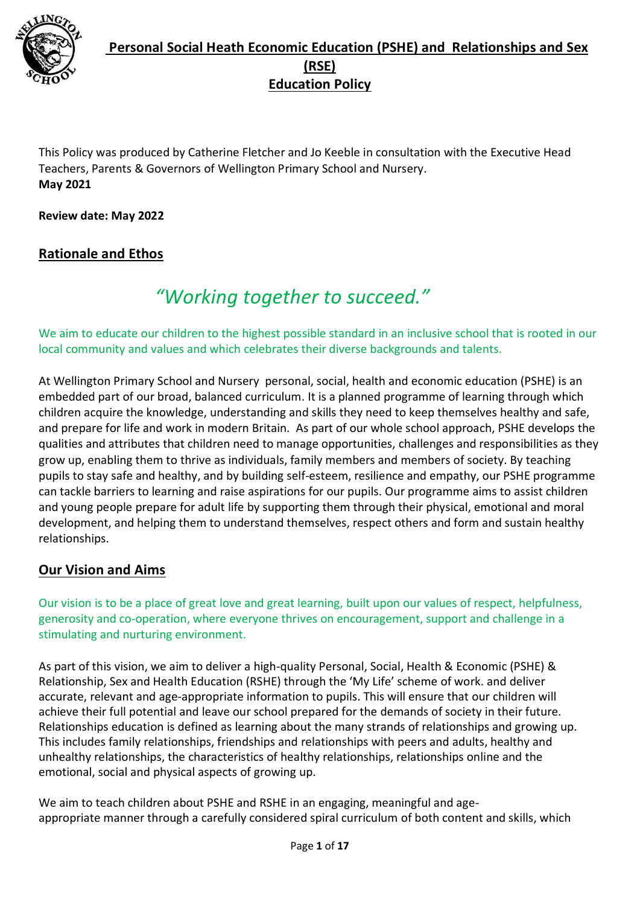

This Policy was produced by Catherine Fletcher and Jo Keeble in consultation with the Executive Head Teachers, Parents & Governors of Wellington Primary School and Nursery. **May 2021**

**Review date: May 2022**

### **Rationale and Ethos**

# *"Working together to succeed."*

We aim to educate our children to the highest possible standard in an inclusive school that is rooted in our local community and values and which celebrates their diverse backgrounds and talents.

At Wellington Primary School and Nursery personal, social, health and economic education (PSHE) is an embedded part of our broad, balanced curriculum. It is a planned programme of learning through which children acquire the knowledge, understanding and skills they need to keep themselves healthy and safe, and prepare for life and work in modern Britain. As part of our whole school approach, PSHE develops the qualities and attributes that children need to manage opportunities, challenges and responsibilities as they grow up, enabling them to thrive as individuals, family members and members of society. By teaching pupils to stay safe and healthy, and by building self-esteem, resilience and empathy, our PSHE programme can tackle barriers to learning and raise aspirations for our pupils. Our programme aims to assist children and young people prepare for adult life by supporting them through their physical, emotional and moral development, and helping them to understand themselves, respect others and form and sustain healthy relationships.

#### **Our Vision and Aims**

Our vision is to be a place of great love and great learning, built upon our values of respect, helpfulness, generosity and co-operation, where everyone thrives on encouragement, support and challenge in a stimulating and nurturing environment.

As part of this vision, we aim to deliver a high-quality Personal, Social, Health & Economic (PSHE) & Relationship, Sex and Health Education (RSHE) through the 'My Life' scheme of work. and deliver accurate, relevant and age-appropriate information to pupils. This will ensure that our children will achieve their full potential and leave our school prepared for the demands of society in their future. Relationships education is defined as learning about the many strands of relationships and growing up. This includes family relationships, friendships and relationships with peers and adults, healthy and unhealthy relationships, the characteristics of healthy relationships, relationships online and the emotional, social and physical aspects of growing up.

We aim to teach children about PSHE and RSHE in an engaging, meaningful and ageappropriate manner through a carefully considered spiral curriculum of both content and skills, which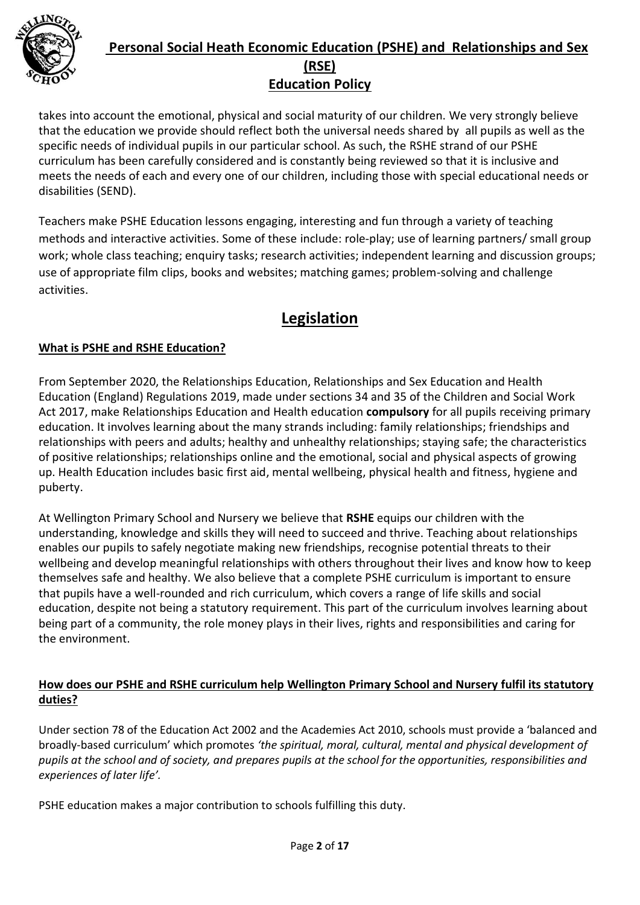

takes into account the emotional, physical and social maturity of our children. We very strongly believe that the education we provide should reflect both the universal needs shared by all pupils as well as the specific needs of individual pupils in our particular school. As such, the RSHE strand of our PSHE curriculum has been carefully considered and is constantly being reviewed so that it is inclusive and meets the needs of each and every one of our children, including those with special educational needs or disabilities (SEND).

Teachers make PSHE Education lessons engaging, interesting and fun through a variety of teaching methods and interactive activities. Some of these include: role-play; use of learning partners/ small group work; whole class teaching; enquiry tasks; research activities; independent learning and discussion groups; use of appropriate film clips, books and websites; matching games; problem-solving and challenge activities.

# **Legislation**

### **What is PSHE and RSHE Education?**

From September 2020, the Relationships Education, Relationships and Sex Education and Health Education (England) Regulations 2019, made under sections 34 and 35 of the Children and Social Work Act 2017, make Relationships Education and Health education **compulsory** for all pupils receiving primary education. It involves learning about the many strands including: family relationships; friendships and relationships with peers and adults; healthy and unhealthy relationships; staying safe; the characteristics of positive relationships; relationships online and the emotional, social and physical aspects of growing up. Health Education includes basic first aid, mental wellbeing, physical health and fitness, hygiene and puberty.

At Wellington Primary School and Nursery we believe that **RSHE** equips our children with the understanding, knowledge and skills they will need to succeed and thrive. Teaching about relationships enables our pupils to safely negotiate making new friendships, recognise potential threats to their wellbeing and develop meaningful relationships with others throughout their lives and know how to keep themselves safe and healthy. We also believe that a complete PSHE curriculum is important to ensure that pupils have a well-rounded and rich curriculum, which covers a range of life skills and social education, despite not being a statutory requirement. This part of the curriculum involves learning about being part of a community, the role money plays in their lives, rights and responsibilities and caring for the environment.

#### **How does our PSHE and RSHE curriculum help Wellington Primary School and Nursery fulfil its statutory duties?**

Under section 78 of the Education Act 2002 and the Academies Act 2010, schools must provide a 'balanced and broadly-based curriculum' which promotes *'the spiritual, moral, cultural, mental and physical development of pupils at the school and of society, and prepares pupils at the school for the opportunities, responsibilities and experiences of later life'.* 

PSHE education makes a major contribution to schools fulfilling this duty.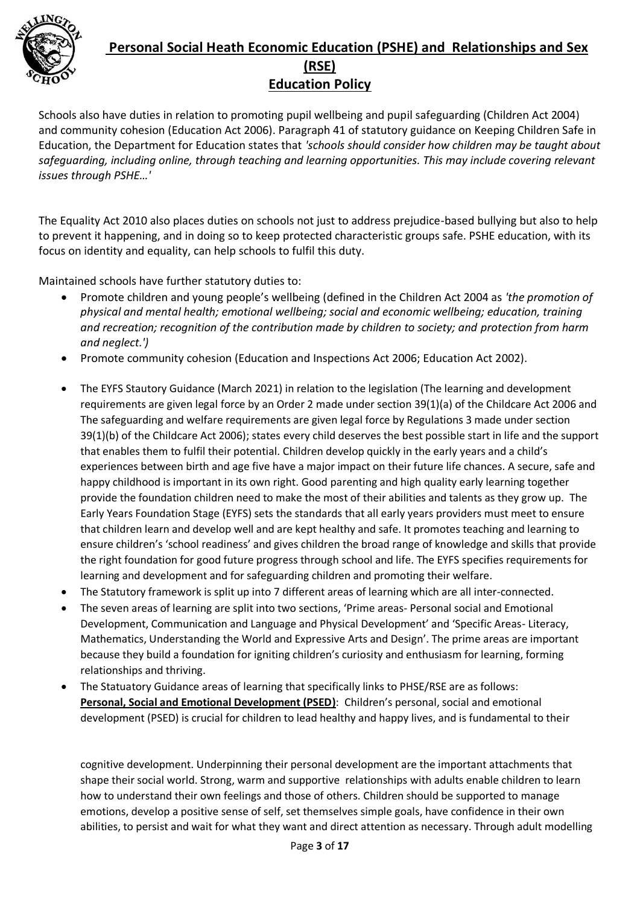

Schools also have duties in relation to promoting pupil wellbeing and pupil safeguarding (Children Act 2004) and community cohesion (Education Act 2006). Paragraph 41 of statutory guidance on Keeping Children Safe in Education, the Department for Education states that *'schools should consider how children may be taught about safeguarding, including online, through teaching and learning opportunities. This may include covering relevant issues through PSHE…'* 

The Equality Act 2010 also places duties on schools not just to address prejudice-based bullying but also to help to prevent it happening, and in doing so to keep protected characteristic groups safe. PSHE education, with its focus on identity and equality, can help schools to fulfil this duty.

Maintained schools have further statutory duties to:

- Promote children and young people's wellbeing (defined in the Children Act 2004 as *'the promotion of physical and mental health; emotional wellbeing; social and economic wellbeing; education, training and recreation; recognition of the contribution made by children to society; and protection from harm and neglect.')*
- Promote community cohesion (Education and Inspections Act 2006; Education Act 2002).
- The EYFS Stautory Guidance (March 2021) in relation to the legislation (The learning and development requirements are given legal force by an Order 2 made under section 39(1)(a) of the Childcare Act 2006 and The safeguarding and welfare requirements are given legal force by Regulations 3 made under section 39(1)(b) of the Childcare Act 2006); states every child deserves the best possible start in life and the support that enables them to fulfil their potential. Children develop quickly in the early years and a child's experiences between birth and age five have a major impact on their future life chances. A secure, safe and happy childhood is important in its own right. Good parenting and high quality early learning together provide the foundation children need to make the most of their abilities and talents as they grow up. The Early Years Foundation Stage (EYFS) sets the standards that all early years providers must meet to ensure that children learn and develop well and are kept healthy and safe. It promotes teaching and learning to ensure children's 'school readiness' and gives children the broad range of knowledge and skills that provide the right foundation for good future progress through school and life. The EYFS specifies requirements for learning and development and for safeguarding children and promoting their welfare.
- The Statutory framework is split up into 7 different areas of learning which are all inter-connected.
- The seven areas of learning are split into two sections, 'Prime areas- Personal social and Emotional Development, Communication and Language and Physical Development' and 'Specific Areas- Literacy, Mathematics, Understanding the World and Expressive Arts and Design'. The prime areas are important because they build a foundation for igniting children's curiosity and enthusiasm for learning, forming relationships and thriving.
- The Statuatory Guidance areas of learning that specifically links to PHSE/RSE are as follows: **Personal, Social and Emotional Development (PSED)**: Children's personal, social and emotional development (PSED) is crucial for children to lead healthy and happy lives, and is fundamental to their

cognitive development. Underpinning their personal development are the important attachments that shape their social world. Strong, warm and supportive relationships with adults enable children to learn how to understand their own feelings and those of others. Children should be supported to manage emotions, develop a positive sense of self, set themselves simple goals, have confidence in their own abilities, to persist and wait for what they want and direct attention as necessary. Through adult modelling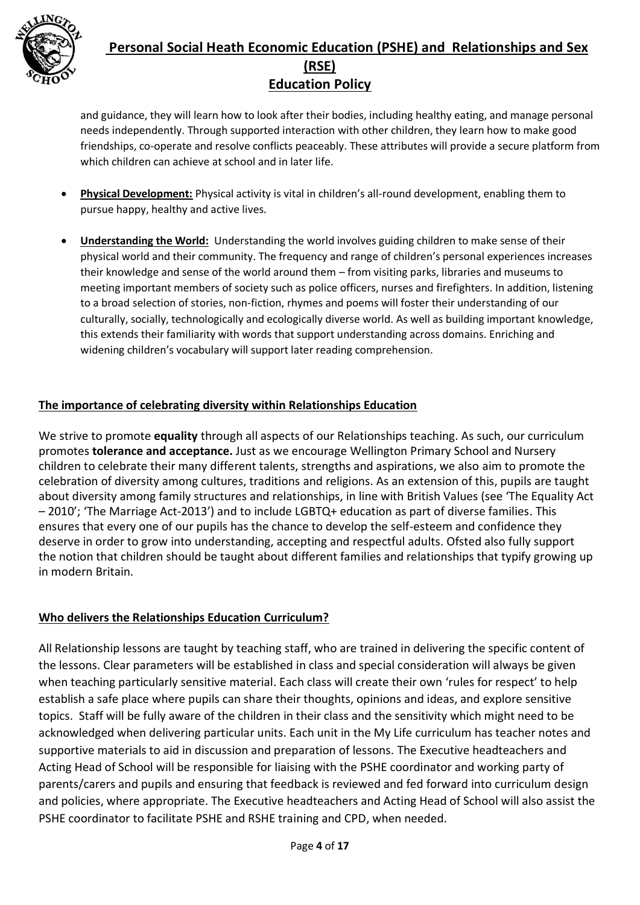

and guidance, they will learn how to look after their bodies, including healthy eating, and manage personal needs independently. Through supported interaction with other children, they learn how to make good friendships, co-operate and resolve conflicts peaceably. These attributes will provide a secure platform from which children can achieve at school and in later life.

- **Physical Development:** Physical activity is vital in children's all-round development, enabling them to pursue happy, healthy and active lives.
- **Understanding the World:** Understanding the world involves guiding children to make sense of their physical world and their community. The frequency and range of children's personal experiences increases their knowledge and sense of the world around them – from visiting parks, libraries and museums to meeting important members of society such as police officers, nurses and firefighters. In addition, listening to a broad selection of stories, non-fiction, rhymes and poems will foster their understanding of our culturally, socially, technologically and ecologically diverse world. As well as building important knowledge, this extends their familiarity with words that support understanding across domains. Enriching and widening children's vocabulary will support later reading comprehension.

#### **The importance of celebrating diversity within Relationships Education**

We strive to promote **equality** through all aspects of our Relationships teaching. As such, our curriculum promotes **tolerance and acceptance.** Just as we encourage Wellington Primary School and Nursery children to celebrate their many different talents, strengths and aspirations, we also aim to promote the celebration of diversity among cultures, traditions and religions. As an extension of this, pupils are taught about diversity among family structures and relationships, in line with British Values (see 'The Equality Act – 2010'; 'The Marriage Act-2013') and to include LGBTQ+ education as part of diverse families. This ensures that every one of our pupils has the chance to develop the self-esteem and confidence they deserve in order to grow into understanding, accepting and respectful adults. Ofsted also fully support the notion that children should be taught about different families and relationships that typify growing up in modern Britain.

#### **Who delivers the Relationships Education Curriculum?**

All Relationship lessons are taught by teaching staff, who are trained in delivering the specific content of the lessons. Clear parameters will be established in class and special consideration will always be given when teaching particularly sensitive material. Each class will create their own 'rules for respect' to help establish a safe place where pupils can share their thoughts, opinions and ideas, and explore sensitive topics. Staff will be fully aware of the children in their class and the sensitivity which might need to be acknowledged when delivering particular units. Each unit in the My Life curriculum has teacher notes and supportive materials to aid in discussion and preparation of lessons. The Executive headteachers and Acting Head of School will be responsible for liaising with the PSHE coordinator and working party of parents/carers and pupils and ensuring that feedback is reviewed and fed forward into curriculum design and policies, where appropriate. The Executive headteachers and Acting Head of School will also assist the PSHE coordinator to facilitate PSHE and RSHE training and CPD, when needed.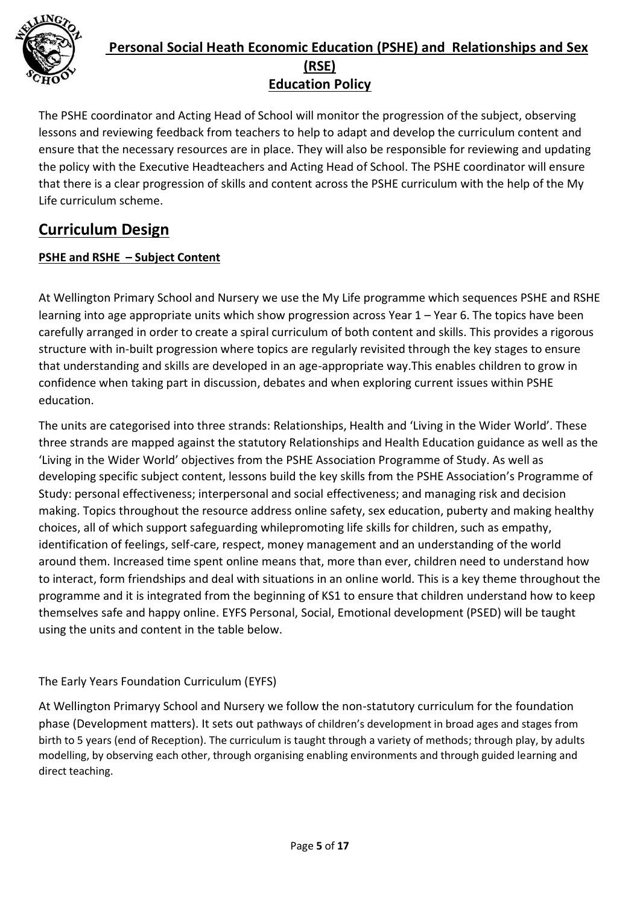

The PSHE coordinator and Acting Head of School will monitor the progression of the subject, observing lessons and reviewing feedback from teachers to help to adapt and develop the curriculum content and ensure that the necessary resources are in place. They will also be responsible for reviewing and updating the policy with the Executive Headteachers and Acting Head of School. The PSHE coordinator will ensure that there is a clear progression of skills and content across the PSHE curriculum with the help of the My Life curriculum scheme.

# **Curriculum Design**

#### **PSHE and RSHE – Subject Content**

At Wellington Primary School and Nursery we use the My Life programme which sequences PSHE and RSHE learning into age appropriate units which show progression across Year 1 – Year 6. The topics have been carefully arranged in order to create a spiral curriculum of both content and skills. This provides a rigorous structure with in-built progression where topics are regularly revisited through the key stages to ensure that understanding and skills are developed in an age-appropriate way.This enables children to grow in confidence when taking part in discussion, debates and when exploring current issues within PSHE education.

The units are categorised into three strands: Relationships, Health and 'Living in the Wider World'. These three strands are mapped against the statutory Relationships and Health Education guidance as well as the 'Living in the Wider World' objectives from the PSHE Association Programme of Study. As well as developing specific subject content, lessons build the key skills from the PSHE Association's Programme of Study: personal effectiveness; interpersonal and social effectiveness; and managing risk and decision making. Topics throughout the resource address online safety, sex education, puberty and making healthy choices, all of which support safeguarding whilepromoting life skills for children, such as empathy, identification of feelings, self-care, respect, money management and an understanding of the world around them. Increased time spent online means that, more than ever, children need to understand how to interact, form friendships and deal with situations in an online world. This is a key theme throughout the programme and it is integrated from the beginning of KS1 to ensure that children understand how to keep themselves safe and happy online. EYFS Personal, Social, Emotional development (PSED) will be taught using the units and content in the table below.

#### The Early Years Foundation Curriculum (EYFS)

At Wellington Primaryy School and Nursery we follow the non-statutory curriculum for the foundation phase (Development matters). It sets out pathways of children's development in broad ages and stages from birth to 5 years (end of Reception). The curriculum is taught through a variety of methods; through play, by adults modelling, by observing each other, through organising enabling environments and through guided learning and direct teaching.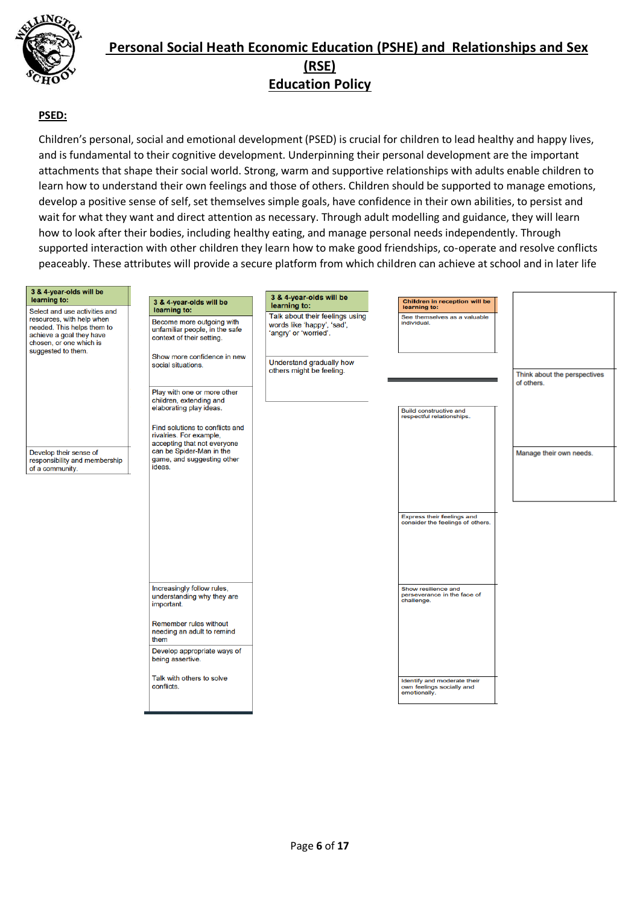

#### **PSED:**

Children's personal, social and emotional development (PSED) is crucial for children to lead healthy and happy lives, and is fundamental to their cognitive development. Underpinning their personal development are the important attachments that shape their social world. Strong, warm and supportive relationships with adults enable children to learn how to understand their own feelings and those of others. Children should be supported to manage emotions, develop a positive sense of self, set themselves simple goals, have confidence in their own abilities, to persist and wait for what they want and direct attention as necessary. Through adult modelling and guidance, they will learn how to look after their bodies, including healthy eating, and manage personal needs independently. Through supported interaction with other children they learn how to make good friendships, co-operate and resolve conflicts peaceably. These attributes will provide a secure platform from which children can achieve at school and in later life

| 3 & 4-year-olds will be<br>learning to:                                                                                                                               | 3 & 4-year-olds will be                                                                                  | 3 & 4-year-olds will be<br>learning to:                                                | Children in reception will be<br>learning to:                            |                              |
|-----------------------------------------------------------------------------------------------------------------------------------------------------------------------|----------------------------------------------------------------------------------------------------------|----------------------------------------------------------------------------------------|--------------------------------------------------------------------------|------------------------------|
| Select and use activities and<br>resources, with help when<br>needed. This helps them to<br>achieve a goal they have<br>chosen, or one which is<br>suggested to them. | learning to:<br>Become more outgoing with<br>unfamiliar people, in the safe<br>context of their setting. | Talk about their feelings using<br>words like 'happy', 'sad',<br>'angry' or 'worried'. | See themselves as a valuable<br>individual.                              |                              |
|                                                                                                                                                                       | Show more confidence in new<br>social situations.                                                        | Understand gradually how<br>others might be feeling.                                   |                                                                          | Think about the perspectives |
|                                                                                                                                                                       | Play with one or more other<br>children, extending and<br>elaborating play ideas.                        |                                                                                        | <b>Build constructive and</b>                                            | of others.                   |
|                                                                                                                                                                       | Find solutions to conflicts and<br>rivalries. For example,<br>accepting that not everyone                |                                                                                        | respectful relationships.                                                |                              |
| Develop their sense of<br>responsibility and membership<br>of a community.                                                                                            | can be Spider-Man in the<br>game, and suggesting other<br>ideas.                                         |                                                                                        |                                                                          | Manage their own needs.      |
|                                                                                                                                                                       |                                                                                                          |                                                                                        |                                                                          |                              |
|                                                                                                                                                                       |                                                                                                          |                                                                                        | Express their feelings and<br>consider the feelings of others.           |                              |
|                                                                                                                                                                       |                                                                                                          |                                                                                        |                                                                          |                              |
|                                                                                                                                                                       | Increasingly follow rules,<br>understanding why they are<br>important.                                   |                                                                                        | Show resilience and<br>perseverance in the face of<br>challenge.         |                              |
|                                                                                                                                                                       | Remember rules without<br>needing an adult to remind<br>them                                             |                                                                                        |                                                                          |                              |
|                                                                                                                                                                       | Develop appropriate ways of<br>being assertive.                                                          |                                                                                        |                                                                          |                              |
|                                                                                                                                                                       | Talk with others to solve<br>conflicts.                                                                  |                                                                                        | Identify and moderate their<br>own feelings socially and<br>emotionally. |                              |
|                                                                                                                                                                       |                                                                                                          |                                                                                        |                                                                          |                              |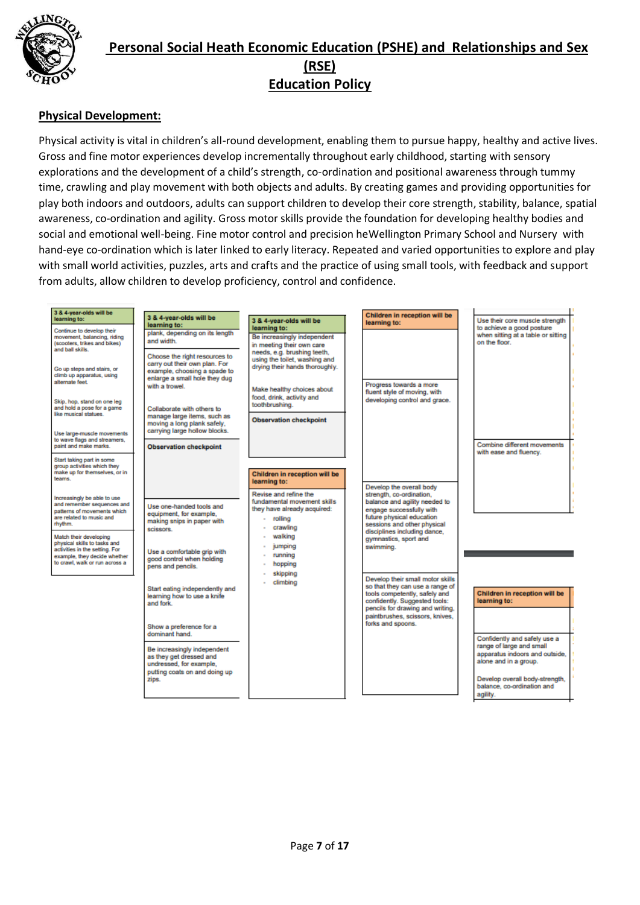

#### **Physical Development:**

Physical activity is vital in children's all-round development, enabling them to pursue happy, healthy and active lives. Gross and fine motor experiences develop incrementally throughout early childhood, starting with sensory explorations and the development of a child's strength, co-ordination and positional awareness through tummy time, crawling and play movement with both objects and adults. By creating games and providing opportunities for play both indoors and outdoors, adults can support children to develop their core strength, stability, balance, spatial awareness, co-ordination and agility. Gross motor skills provide the foundation for developing healthy bodies and social and emotional well-being. Fine motor control and precision heWellington Primary School and Nursery with hand-eye co-ordination which is later linked to early literacy. Repeated and varied opportunities to explore and play with small world activities, puzzles, arts and crafts and the practice of using small tools, with feedback and support from adults, allow children to develop proficiency, control and confidence.

| 3 & 4-year-olds will be<br>learning to:                                                                                                                    | 3 & 4-year-olds will be<br>learning to:                                                                         | 3 & 4-year-olds will be                                                                                                    | Children in reception will be<br>learning to:                                                                                                                                                                | Use their core muscle strength                                                      |
|------------------------------------------------------------------------------------------------------------------------------------------------------------|-----------------------------------------------------------------------------------------------------------------|----------------------------------------------------------------------------------------------------------------------------|--------------------------------------------------------------------------------------------------------------------------------------------------------------------------------------------------------------|-------------------------------------------------------------------------------------|
| Continue to develop their<br>movement, balancing, riding<br>(scooters, trikes and bikes)<br>and ball skills.                                               | plank, depending on its length<br>and width.<br>Choose the right resources to                                   | learning to:<br>Be increasingly independent<br>in meeting their own care<br>needs, e.g. brushing teeth,                    |                                                                                                                                                                                                              | to achieve a good posture<br>when sitting at a table or sitting<br>on the floor.    |
| Go up steps and stairs, or<br>climb up apparatus, using<br>alternate feet.                                                                                 | carry out their own plan. For<br>example, choosing a spade to<br>enlarge a small hole they dug<br>with a trowel | using the toilet, washing and<br>drying their hands thoroughly.<br>Make healthy choices about                              | Progress towards a more<br>fluent style of moving, with                                                                                                                                                      |                                                                                     |
| Skip, hop, stand on one leg<br>and hold a pose for a game<br>like musical statues.                                                                         | Collaborate with others to<br>manage large items, such as                                                       | food, drink, activity and<br>toothbrushing.<br><b>Observation checkpoint</b>                                               | developing control and grace.                                                                                                                                                                                |                                                                                     |
| Use large-muscle movements<br>to wave flags and streamers.<br>paint and make marks.                                                                        | moving a long plank safely.<br>carrying large hollow blocks.<br><b>Observation checkpoint</b>                   |                                                                                                                            |                                                                                                                                                                                                              | Combine different movements                                                         |
| Start taking part in some<br>group activities which they<br>make up for themselves, or in<br>teams.                                                        |                                                                                                                 | Children in reception will be                                                                                              |                                                                                                                                                                                                              | with ease and fluency.                                                              |
| Increasingly be able to use<br>and remember sequences and<br>patterns of movements which<br>are related to music and<br>rhythm.                            | Use one-handed tools and<br>equipment, for example,<br>making snips in paper with<br>scissors.                  | learning to:<br>Revise and refine the<br>fundamental movement skills<br>they have already acquired:<br>rolling<br>crawling | Develop the overall body<br>strength, co-ordination,<br>balance and agility needed to<br>engage successfully with<br>future physical education<br>sessions and other physical                                |                                                                                     |
| Match their developing<br>physical skills to tasks and<br>activities in the setting. For<br>example, they decide whether<br>to crawl, walk or run across a | Use a comfortable grip with<br>good control when holding<br>pens and pencils.                                   | walking<br>jumping<br>running<br>hopping<br>skipping                                                                       | disciplines including dance,<br>gymnastics, sport and<br>swimming.                                                                                                                                           |                                                                                     |
|                                                                                                                                                            | Start eating independently and<br>learning how to use a knife<br>and fork                                       | climbing                                                                                                                   | Develop their small motor skills<br>so that they can use a range of<br>tools competently, safely and<br>confidently. Suggested tools:<br>pencils for drawing and writing.<br>paintbrushes, scissors, knives, | Children in reception will be<br>learning to:                                       |
|                                                                                                                                                            | Show a preference for a<br>dominant hand.                                                                       |                                                                                                                            | forks and spoons.                                                                                                                                                                                            | Confidently and safely use a                                                        |
|                                                                                                                                                            | Be increasingly independent<br>as they get dressed and<br>undressed, for example,                               |                                                                                                                            |                                                                                                                                                                                                              | range of large and small<br>apparatus indoors and outside,<br>alone and in a group. |
|                                                                                                                                                            | putting coats on and doing up<br>zips.                                                                          |                                                                                                                            |                                                                                                                                                                                                              | Develop overall body-strength,<br>balance, co-ordination and<br>agility.            |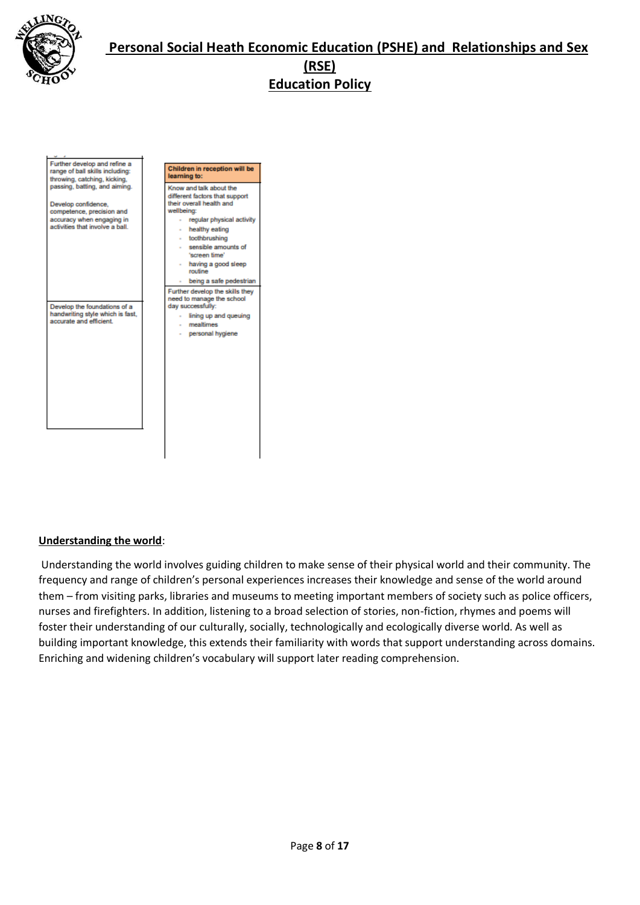

| Further develop and refine a                                                                                                                      |                                                                                                                                                                                                                                                                                                |
|---------------------------------------------------------------------------------------------------------------------------------------------------|------------------------------------------------------------------------------------------------------------------------------------------------------------------------------------------------------------------------------------------------------------------------------------------------|
| range of ball skills including:<br>throwing, catching, kicking,                                                                                   | Children in reception will be<br>learning to:                                                                                                                                                                                                                                                  |
| passing, batting, and aiming.<br>Develop confidence,<br>competence, precision and<br>accuracy when engaging in<br>activities that involve a ball. | Know and talk about the<br>different factors that support<br>their overall health and<br>wellbeing:<br>regular physical activity<br>a.<br>- healthy eating<br>- toothbrushing<br>- sensible amounts of<br>'screen time'<br>having a good sleep<br>$\sim$<br>routine<br>being a safe pedestrian |
| Develop the foundations of a<br>handwriting style which is fast,<br>accurate and efficient.                                                       | Further develop the skills they<br>need to manage the school<br>day successfully:<br>lining up and queuing<br>$\mathbf{r}$<br>- mealtimes<br>personal hygiene<br>$\sim$                                                                                                                        |

#### **Understanding the world**:

Understanding the world involves guiding children to make sense of their physical world and their community. The frequency and range of children's personal experiences increases their knowledge and sense of the world around them – from visiting parks, libraries and museums to meeting important members of society such as police officers, nurses and firefighters. In addition, listening to a broad selection of stories, non-fiction, rhymes and poems will foster their understanding of our culturally, socially, technologically and ecologically diverse world. As well as building important knowledge, this extends their familiarity with words that support understanding across domains. Enriching and widening children's vocabulary will support later reading comprehension.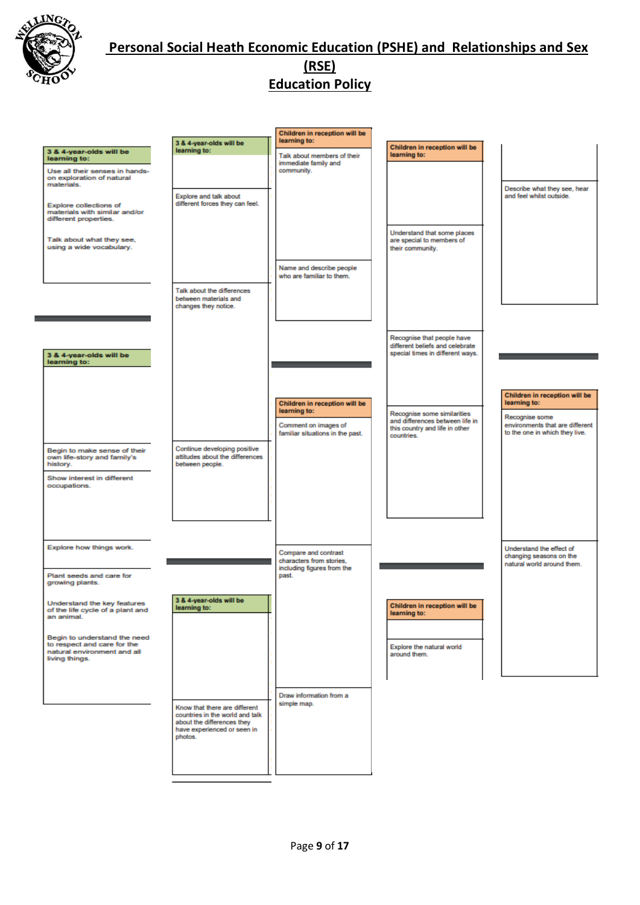

|                                                                                                              |                                                                                                                                          | Children in reception will be<br>learning to:                                  |                                                                                                   |                                                                                   |
|--------------------------------------------------------------------------------------------------------------|------------------------------------------------------------------------------------------------------------------------------------------|--------------------------------------------------------------------------------|---------------------------------------------------------------------------------------------------|-----------------------------------------------------------------------------------|
| 3 & 4-year-olds will be<br>learning to:                                                                      | 3 & 4-year-olds will be<br>learning to:                                                                                                  | Talk about members of their<br>immediate family and                            | Children in reception will be<br>learning to:                                                     |                                                                                   |
| Use all their senses in hands-<br>on exploration of natural<br>materials.                                    |                                                                                                                                          | community.                                                                     |                                                                                                   |                                                                                   |
| <b>Explore collections of</b><br>materials with similar and/or<br>different properties.                      | Explore and talk about<br>different forces they can feel.                                                                                |                                                                                |                                                                                                   | Describe what they see, hear<br>and feel whilst outside.                          |
| Talk about what they see,<br>using a wide vocabulary.                                                        |                                                                                                                                          |                                                                                | Understand that some places<br>are special to members of<br>their community.                      |                                                                                   |
|                                                                                                              |                                                                                                                                          | Name and describe people<br>who are familiar to them.                          |                                                                                                   |                                                                                   |
|                                                                                                              | Talk about the differences<br>between materials and<br>changes they notice.                                                              |                                                                                |                                                                                                   |                                                                                   |
| 3 & 4-year-olds will be<br>learning to:                                                                      |                                                                                                                                          |                                                                                | Recognise that people have<br>different beliefs and celebrate<br>special times in different ways. |                                                                                   |
|                                                                                                              |                                                                                                                                          |                                                                                |                                                                                                   |                                                                                   |
|                                                                                                              |                                                                                                                                          | Children in reception will be<br>learning to:                                  | Recognise some similarities                                                                       | Children in reception will be<br>learning to:<br>Recognise some                   |
|                                                                                                              |                                                                                                                                          | Comment on images of<br>familiar situations in the past.                       | and differences between life in<br>this country and life in other<br>countries.                   | environments that are different<br>to the one in which they live.                 |
| Begin to make sense of their<br>own life-story and family's<br>history.                                      | Continue developing positive<br>attitudes about the differences<br>between people.                                                       |                                                                                |                                                                                                   |                                                                                   |
| Show interest in different<br>occupations.                                                                   |                                                                                                                                          |                                                                                |                                                                                                   |                                                                                   |
|                                                                                                              |                                                                                                                                          |                                                                                |                                                                                                   |                                                                                   |
| Explore how things work.                                                                                     |                                                                                                                                          | Compare and contrast<br>characters from stories.<br>including figures from the |                                                                                                   | Understand the effect of<br>changing seasons on the<br>natural world around them. |
| Plant seeds and care for<br>growing plants.                                                                  |                                                                                                                                          | past.                                                                          |                                                                                                   |                                                                                   |
| Understand the key features<br>of the life cycle of a plant and<br>an animal.                                | 3 & 4-year-olds will be<br>learning to:                                                                                                  |                                                                                | Children in reception will be<br>learning to:                                                     |                                                                                   |
| Begin to understand the need<br>to respect and care for the<br>natural environment and all<br>living things. |                                                                                                                                          |                                                                                | Explore the natural world<br>around them.                                                         |                                                                                   |
|                                                                                                              |                                                                                                                                          | Draw information from a                                                        |                                                                                                   |                                                                                   |
|                                                                                                              | Know that there are different<br>countries in the world and talk<br>about the differences they<br>have experienced or seen in<br>photos. | simple map.                                                                    |                                                                                                   |                                                                                   |
|                                                                                                              |                                                                                                                                          |                                                                                |                                                                                                   |                                                                                   |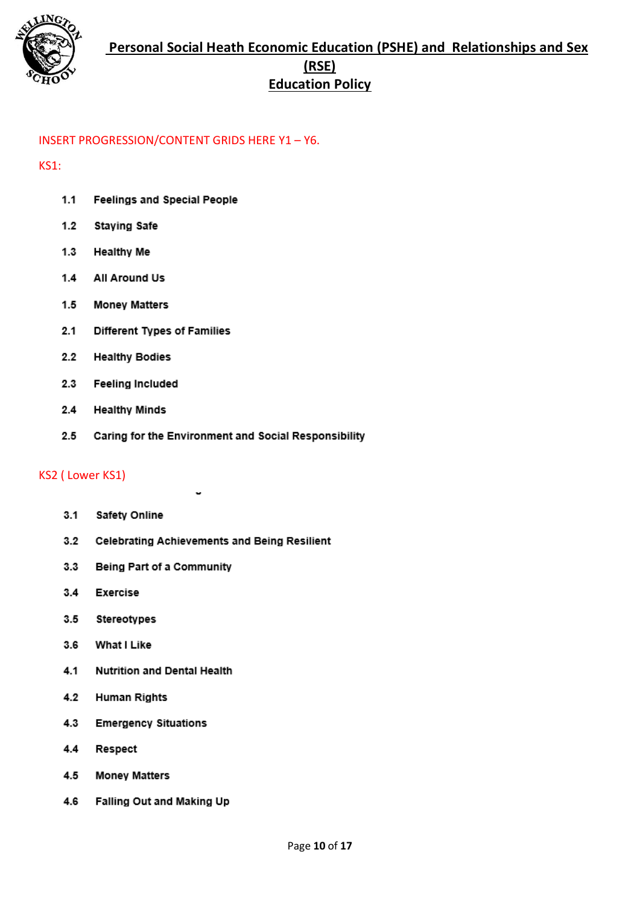

#### INSERT PROGRESSION/CONTENT GRIDS HERE Y1 – Y6.

#### KS1:

- $1.1$ **Feelings and Special People**
- $1.2$ **Staying Safe**
- $1.3$ **Healthy Me**
- All Around Us  $1.4$
- $1.5$ **Money Matters**
- $2.1$ Different Types of Families
- $2.2$ **Healthy Bodies**
- $2.3$ **Feeling Included**
- $2.4$ **Healthy Minds**
- $2.5$ Caring for the Environment and Social Responsibility

#### KS2 ( Lower KS1)

- $3.1$ **Safety Online**
- $3.2$ **Celebrating Achievements and Being Resilient**
- $3.3$ **Being Part of a Community**
- $3.4$ **Exercise**
- $3.5$ Stereotypes
- $3.6$ What I Like
- $4.1$ **Nutrition and Dental Health**
- $4.2$ **Human Rights**
- $4.3$ **Emergency Situations**
- $4.4$ Respect
- $4.5$ **Money Matters**
- 4.6 Falling Out and Making Up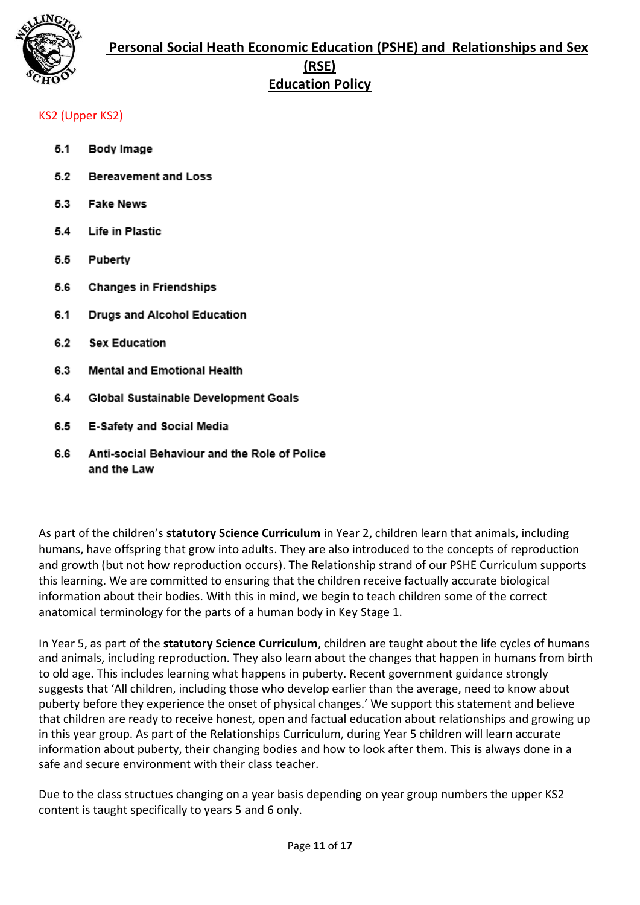

#### KS2 (Upper KS2)

- $5.1$ Body Image
- $5.2$ **Bereavement and Loss**
- $5.3$ **Fake News**
- Life in Plastic  $5.4$
- $5.5$ Puberty
- 5.6 **Changes in Friendships**
- $6.1$ Drugs and Alcohol Education
- $6.2$ **Sex Education**
- 6.3 Mental and Emotional Health
- 6.4 Global Sustainable Development Goals
- 6.5 E-Safety and Social Media
- 6.6 Anti-social Behaviour and the Role of Police and the Law

As part of the children's **statutory Science Curriculum** in Year 2, children learn that animals, including humans, have offspring that grow into adults. They are also introduced to the concepts of reproduction and growth (but not how reproduction occurs). The Relationship strand of our PSHE Curriculum supports this learning. We are committed to ensuring that the children receive factually accurate biological information about their bodies. With this in mind, we begin to teach children some of the correct anatomical terminology for the parts of a human body in Key Stage 1.

In Year 5, as part of the **statutory Science Curriculum**, children are taught about the life cycles of humans and animals, including reproduction. They also learn about the changes that happen in humans from birth to old age. This includes learning what happens in puberty. Recent government guidance strongly suggests that 'All children, including those who develop earlier than the average, need to know about puberty before they experience the onset of physical changes.' We support this statement and believe that children are ready to receive honest, open and factual education about relationships and growing up in this year group. As part of the Relationships Curriculum, during Year 5 children will learn accurate information about puberty, their changing bodies and how to look after them. This is always done in a safe and secure environment with their class teacher.

Due to the class structues changing on a year basis depending on year group numbers the upper KS2 content is taught specifically to years 5 and 6 only.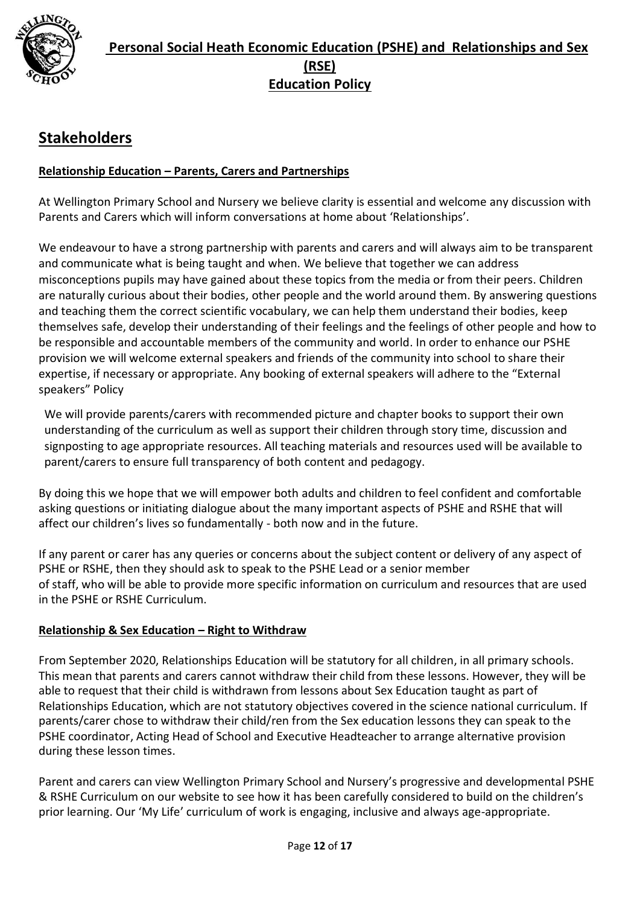

# **Stakeholders**

#### **Relationship Education – Parents, Carers and Partnerships**

At Wellington Primary School and Nursery we believe clarity is essential and welcome any discussion with Parents and Carers which will inform conversations at home about 'Relationships'.

We endeavour to have a strong partnership with parents and carers and will always aim to be transparent and communicate what is being taught and when. We believe that together we can address misconceptions pupils may have gained about these topics from the media or from their peers. Children are naturally curious about their bodies, other people and the world around them. By answering questions and teaching them the correct scientific vocabulary, we can help them understand their bodies, keep themselves safe, develop their understanding of their feelings and the feelings of other people and how to be responsible and accountable members of the community and world. In order to enhance our PSHE provision we will welcome external speakers and friends of the community into school to share their expertise, if necessary or appropriate. Any booking of external speakers will adhere to the "External speakers" Policy

We will provide parents/carers with recommended picture and chapter books to support their own understanding of the curriculum as well as support their children through story time, discussion and signposting to age appropriate resources. All teaching materials and resources used will be available to parent/carers to ensure full transparency of both content and pedagogy.

By doing this we hope that we will empower both adults and children to feel confident and comfortable asking questions or initiating dialogue about the many important aspects of PSHE and RSHE that will affect our children's lives so fundamentally - both now and in the future.

If any parent or carer has any queries or concerns about the subject content or delivery of any aspect of PSHE or RSHE, then they should ask to speak to the PSHE Lead or a senior member of staff, who will be able to provide more specific information on curriculum and resources that are used in the PSHE or RSHE Curriculum.

#### **Relationship & Sex Education – Right to Withdraw**

From September 2020, Relationships Education will be statutory for all children, in all primary schools. This mean that parents and carers cannot withdraw their child from these lessons. However, they will be able to request that their child is withdrawn from lessons about Sex Education taught as part of Relationships Education, which are not statutory objectives covered in the science national curriculum. If parents/carer chose to withdraw their child/ren from the Sex education lessons they can speak to the PSHE coordinator, Acting Head of School and Executive Headteacher to arrange alternative provision during these lesson times.

Parent and carers can view Wellington Primary School and Nursery's progressive and developmental PSHE & RSHE Curriculum on our website to see how it has been carefully considered to build on the children's prior learning. Our 'My Life' curriculum of work is engaging, inclusive and always age-appropriate.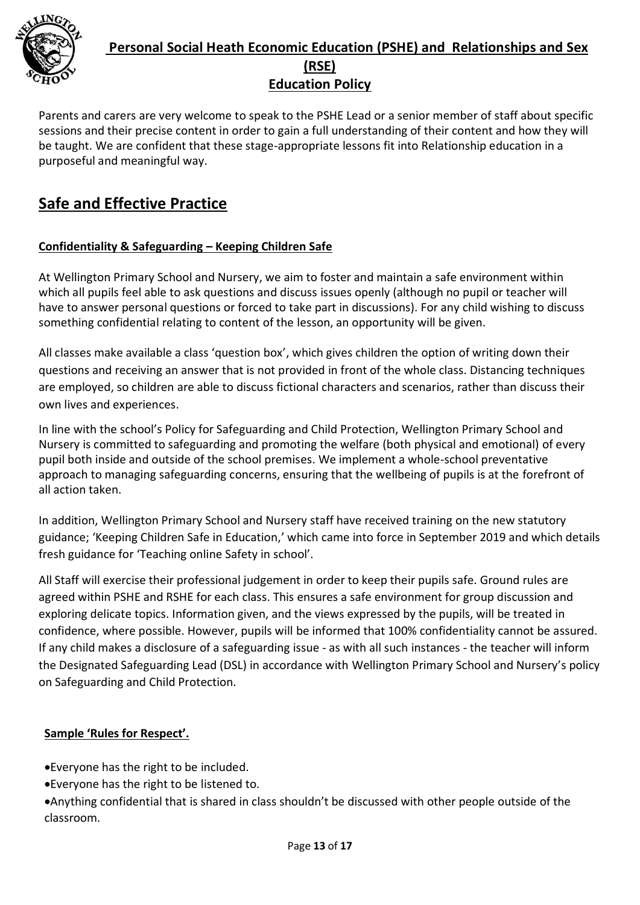

Parents and carers are very welcome to speak to the PSHE Lead or a senior member of staff about specific sessions and their precise content in order to gain a full understanding of their content and how they will be taught. We are confident that these stage-appropriate lessons fit into Relationship education in a purposeful and meaningful way.

# **Safe and Effective Practice**

### **Confidentiality & Safeguarding – Keeping Children Safe**

At Wellington Primary School and Nursery, we aim to foster and maintain a safe environment within which all pupils feel able to ask questions and discuss issues openly (although no pupil or teacher will have to answer personal questions or forced to take part in discussions). For any child wishing to discuss something confidential relating to content of the lesson, an opportunity will be given.

All classes make available a class 'question box', which gives children the option of writing down their questions and receiving an answer that is not provided in front of the whole class. Distancing techniques are employed, so children are able to discuss fictional characters and scenarios, rather than discuss their own lives and experiences.

In line with the school's Policy for Safeguarding and Child Protection, Wellington Primary School and Nursery is committed to safeguarding and promoting the welfare (both physical and emotional) of every pupil both inside and outside of the school premises. We implement a whole-school preventative approach to managing safeguarding concerns, ensuring that the wellbeing of pupils is at the forefront of all action taken.

In addition, Wellington Primary School and Nursery staff have received training on the new statutory guidance; 'Keeping Children Safe in Education,' which came into force in September 2019 and which details fresh guidance for 'Teaching online Safety in school'.

All Staff will exercise their professional judgement in order to keep their pupils safe. Ground rules are agreed within PSHE and RSHE for each class. This ensures a safe environment for group discussion and exploring delicate topics. Information given, and the views expressed by the pupils, will be treated in confidence, where possible. However, pupils will be informed that 100% confidentiality cannot be assured. If any child makes a disclosure of a safeguarding issue - as with all such instances - the teacher will inform the Designated Safeguarding Lead (DSL) in accordance with Wellington Primary School and Nursery's policy on Safeguarding and Child Protection.

### **Sample 'Rules for Respect'.**

Everyone has the right to be included.

Everyone has the right to be listened to.

Anything confidential that is shared in class shouldn't be discussed with other people outside of the classroom.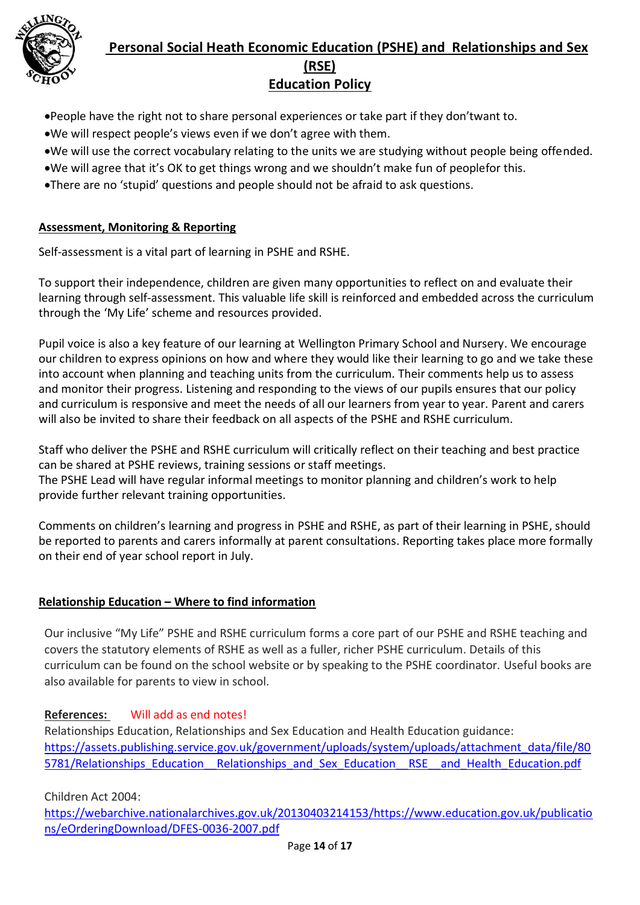

- People have the right not to share personal experiences or take part if they don'twant to.
- We will respect people's views even if we don't agree with them.
- We will use the correct vocabulary relating to the units we are studying without people being offended.
- We will agree that it's OK to get things wrong and we shouldn't make fun of peoplefor this.
- There are no 'stupid' questions and people should not be afraid to ask questions.

#### **Assessment, Monitoring & Reporting**

Self-assessment is a vital part of learning in PSHE and RSHE.

To support their independence, children are given many opportunities to reflect on and evaluate their learning through self-assessment. This valuable life skill is reinforced and embedded across the curriculum through the 'My Life' scheme and resources provided.

Pupil voice is also a key feature of our learning at Wellington Primary School and Nursery. We encourage our children to express opinions on how and where they would like their learning to go and we take these into account when planning and teaching units from the curriculum. Their comments help us to assess and monitor their progress. Listening and responding to the views of our pupils ensures that our policy and curriculum is responsive and meet the needs of all our learners from year to year. Parent and carers will also be invited to share their feedback on all aspects of the PSHE and RSHE curriculum.

Staff who deliver the PSHE and RSHE curriculum will critically reflect on their teaching and best practice can be shared at PSHE reviews, training sessions or staff meetings.

The PSHE Lead will have regular informal meetings to monitor planning and children's work to help provide further relevant training opportunities.

Comments on children's learning and progress in PSHE and RSHE, as part of their learning in PSHE, should be reported to parents and carers informally at parent consultations. Reporting takes place more formally on their end of year school report in July.

#### **Relationship Education – Where to find information**

Our inclusive "My Life" PSHE and RSHE curriculum forms a core part of our PSHE and RSHE teaching and covers the statutory elements of RSHE as well as a fuller, richer PSHE curriculum. Details of this curriculum can be found on the school website or by speaking to the PSHE coordinator. Useful books are also available for parents to view in school.

#### **References:** Will add as end notes!

 Relationships Education, Relationships and Sex Education and Health Education guidance: [https://assets.publishing.service.gov.uk/government/uploads/system/uploads/attachment\\_data/file/80](https://assets.publishing.service.gov.uk/government/uploads/system/uploads/attachment_data/file/805781/Relationships_Education__Relationships_and_Sex_Education__RSE__and_Health_Education.pdf) 5781/Relationships Education Relationships and Sex Education RSE and Health Education.pdf

Children Act 2004:

[https://webarchive.nationalarchives.gov.uk/20130403214153/https://www.education.gov.uk/publicatio](https://webarchive.nationalarchives.gov.uk/20130403214153/https:/www.education.gov.uk/publications/eOrderingDownload/DFES-0036-2007.pdf) [ns/eOrderingDownload/DFES-0036-2007.pdf](https://webarchive.nationalarchives.gov.uk/20130403214153/https:/www.education.gov.uk/publications/eOrderingDownload/DFES-0036-2007.pdf)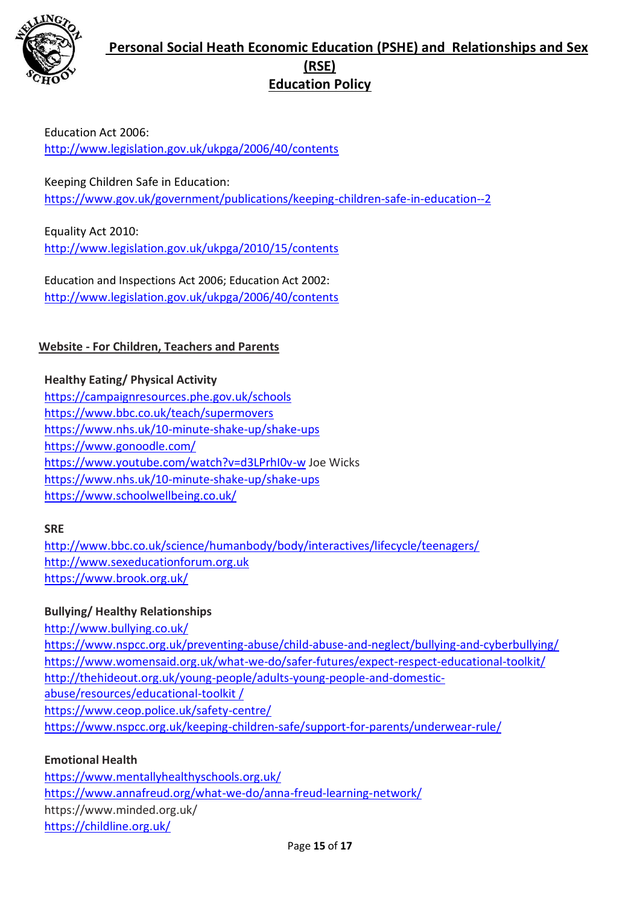

Education Act 2006: <http://www.legislation.gov.uk/ukpga/2006/40/contents>

Keeping Children Safe in Education: <https://www.gov.uk/government/publications/keeping-children-safe-in-education--2>

Equality Act 2010: <http://www.legislation.gov.uk/ukpga/2010/15/contents>

Education and Inspections Act 2006; Education Act 2002: <http://www.legislation.gov.uk/ukpga/2006/40/contents>

### **Website - For Children, Teachers and Parents**

**Healthy Eating/ Physical Activity**  <https://campaignresources.phe.gov.uk/schools> <https://www.bbc.co.uk/teach/supermovers> <https://www.nhs.uk/10-minute-shake-up/shake-ups> <https://www.gonoodle.com/> <https://www.youtube.com/watch?v=d3LPrhI0v-w> Joe Wicks <https://www.nhs.uk/10-minute-shake-up/shake-ups> <https://www.schoolwellbeing.co.uk/>

#### **SRE**

<http://www.bbc.co.uk/science/humanbody/body/interactives/lifecycle/teenagers/> [http://www.sexeducationforum.org.uk](http://www.sexeducationforum.org.uk/) <https://www.brook.org.uk/>

#### **Bullying/ Healthy Relationships**

<http://www.bullying.co.uk/> <https://www.nspcc.org.uk/preventing-abuse/child-abuse-and-neglect/bullying-and-cyberbullying/> <https://www.womensaid.org.uk/what-we-do/safer-futures/expect-respect-educational-toolkit/> [http://thehideout.org.uk/young-people/adults-young-people-and-domestic](http://thehideout.org.uk/young-people/adults-young-people-and-domestic-abuse/resources/educational-toolkit%20/)[abuse/resources/educational-toolkit /](http://thehideout.org.uk/young-people/adults-young-people-and-domestic-abuse/resources/educational-toolkit%20/) <https://www.ceop.police.uk/safety-centre/> <https://www.nspcc.org.uk/keeping-children-safe/support-for-parents/underwear-rule/>

#### **Emotional Health**

<https://www.mentallyhealthyschools.org.uk/> <https://www.annafreud.org/what-we-do/anna-freud-learning-network/> https://www.minded.org.uk/ <https://childline.org.uk/>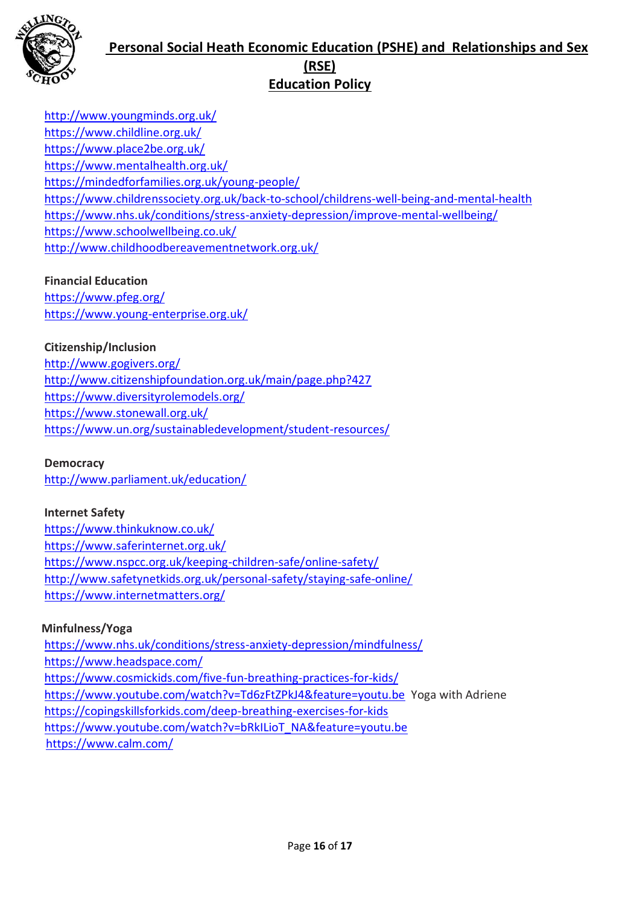

<http://www.youngminds.org.uk/> <https://www.childline.org.uk/> <https://www.place2be.org.uk/> <https://www.mentalhealth.org.uk/> <https://mindedforfamilies.org.uk/young-people/> <https://www.childrenssociety.org.uk/back-to-school/childrens-well-being-and-mental-health> <https://www.nhs.uk/conditions/stress-anxiety-depression/improve-mental-wellbeing/> <https://www.schoolwellbeing.co.uk/> <http://www.childhoodbereavementnetwork.org.uk/>

#### **Financial Education**

<https://www.pfeg.org/> <https://www.young-enterprise.org.uk/>

#### **Citizenship/Inclusion**

<http://www.gogivers.org/> <http://www.citizenshipfoundation.org.uk/main/page.php?427> <https://www.diversityrolemodels.org/> <https://www.stonewall.org.uk/> <https://www.un.org/sustainabledevelopment/student-resources/>

#### **Democracy**

<http://www.parliament.uk/education/>

#### **Internet Safety**

<https://www.thinkuknow.co.uk/> <https://www.saferinternet.org.uk/> <https://www.nspcc.org.uk/keeping-children-safe/online-safety/> <http://www.safetynetkids.org.uk/personal-safety/staying-safe-online/> <https://www.internetmatters.org/>

#### **Minfulness/Yoga**

<https://www.nhs.uk/conditions/stress-anxiety-depression/mindfulness/> <https://www.headspace.com/> <https://www.cosmickids.com/five-fun-breathing-practices-for-kids/> <https://www.youtube.com/watch?v=Td6zFtZPkJ4&feature=youtu.be>Yoga with Adriene <https://copingskillsforkids.com/deep-breathing-exercises-for-kids> [https://www.youtube.com/watch?v=bRkILioT\\_NA&feature=youtu.be](https://www.youtube.com/watch?v=bRkILioT_NA&feature=youtu.be) <https://www.calm.com/>